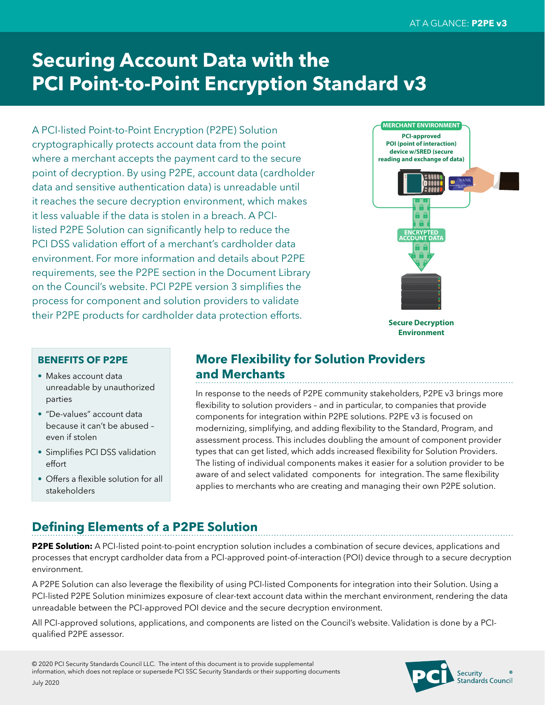# **Securing Account Data with the PCI Point-to-Point Encryption Standard v3**

A PCI-listed Point-to-Point Encryption (P2PE) Solution cryptographically protects account data from the point where a merchant accepts the payment card to the secure point of decryption. By using P2PE, account data (cardholder data and sensitive authentication data) is unreadable until it reaches the secure decryption environment, which makes it less valuable if the data is stolen in a breach. A PCIlisted P2PE Solution can significantly help to reduce the PCI DSS validation effort of a merchant's cardholder data environment. For more information and details about P2PE requirements, see the P2PE section in the Document Library on the Council's website. PCI P2PE version 3 simplifies the process for component and solution providers to validate their P2PE products for cardholder data protection efforts.



**Secure Decryption Environment**

#### **BENEFITS OF P2PE**

- Makes account data unreadable by unauthorized parties
- "De-values" account data because it can't be abused – even if stolen
- Simplifies PCI DSS validation effort
- Offers a flexible solution for all stakeholders

#### **More Flexibility for Solution Providers and Merchants**

In response to the needs of P2PE community stakeholders, P2PE v3 brings more flexibility to solution providers – and in particular, to companies that provide components for integration within P2PE solutions. P2PE v3 is focused on modernizing, simplifying, and adding flexibility to the Standard, Program, and assessment process. This includes doubling the amount of component provider types that can get listed, which adds increased flexibility for Solution Providers. The listing of individual components makes it easier for a solution provider to be aware of and select validated components for integration. The same flexibility applies to merchants who are creating and managing their own P2PE solution.

### **Defining Elements of a P2PE Solution**

**P2PE Solution:** A PCI-listed point-to-point encryption solution includes a combination of secure devices, applications and processes that encrypt cardholder data from a PCI-approved point-of-interaction (POI) device through to a secure decryption environment.

A P2PE Solution can also leverage the flexibility of using PCI-listed Components for integration into their Solution. Using a PCI-listed P2PE Solution minimizes exposure of clear-text account data within the merchant environment, rendering the data unreadable between the PCI-approved POI device and the secure decryption environment.

All PCI-approved solutions, applications, and components are listed on the Council's website. Validation is done by a PCIqualified P2PE assessor.

> Security seeanny<br>Standards Council

© 2020 PCI Security Standards Council LLC. The intent of this document is to provide supplemental information, which does not replace or supersede PCI SSC Security Standards or their supporting documents